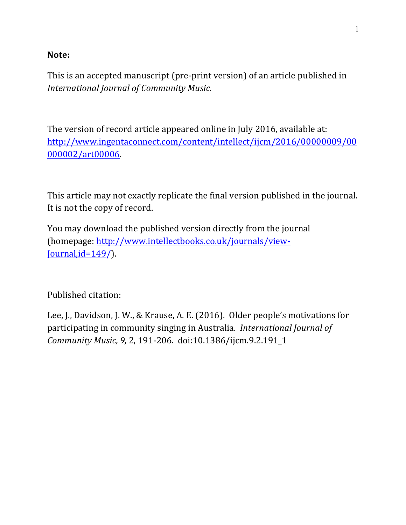# **Note:**

This is an accepted manuscript (pre-print version) of an article published in **International Journal of Community Music.** 

The version of record article appeared online in July 2016, available at: http://www.ingentaconnect.com/content/intellect/ijcm/2016/00000009/00 000002/art00006.

This article may not exactly replicate the final version published in the journal. It is not the copy of record.

You may download the published version directly from the journal (homepage: http://www.intellectbooks.co.uk/journals/view- $Journal$ , $id=149/$ ).

Published citation:

Lee, J., Davidson, J. W., & Krause, A. E. (2016). Older people's motivations for participating in community singing in Australia. *International Journal of Community Music, 9,* 2, 191-206*.* doi:10.1386/ijcm.9.2.191\_1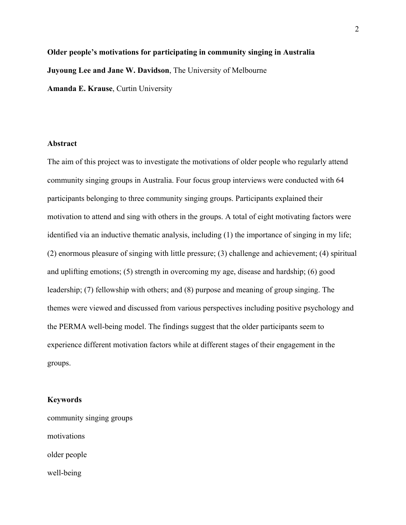**Older people's motivations for participating in community singing in Australia Juyoung Lee and Jane W. Davidson**, The University of Melbourne **Amanda E. Krause**, Curtin University

#### **Abstract**

The aim of this project was to investigate the motivations of older people who regularly attend community singing groups in Australia. Four focus group interviews were conducted with 64 participants belonging to three community singing groups. Participants explained their motivation to attend and sing with others in the groups. A total of eight motivating factors were identified via an inductive thematic analysis, including (1) the importance of singing in my life; (2) enormous pleasure of singing with little pressure; (3) challenge and achievement; (4) spiritual and uplifting emotions; (5) strength in overcoming my age, disease and hardship; (6) good leadership; (7) fellowship with others; and (8) purpose and meaning of group singing. The themes were viewed and discussed from various perspectives including positive psychology and the PERMA well-being model. The findings suggest that the older participants seem to experience different motivation factors while at different stages of their engagement in the groups.

#### **Keywords**

community singing groups motivations older people well-being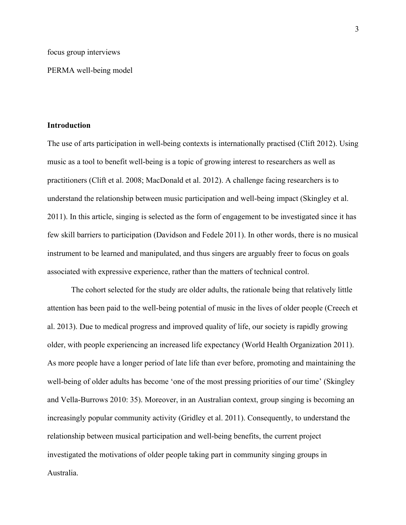focus group interviews

PERMA well-being model

#### **Introduction**

The use of arts participation in well-being contexts is internationally practised (Clift 2012). Using music as a tool to benefit well-being is a topic of growing interest to researchers as well as practitioners (Clift et al. 2008; MacDonald et al. 2012). A challenge facing researchers is to understand the relationship between music participation and well-being impact (Skingley et al. 2011). In this article, singing is selected as the form of engagement to be investigated since it has few skill barriers to participation (Davidson and Fedele 2011). In other words, there is no musical instrument to be learned and manipulated, and thus singers are arguably freer to focus on goals associated with expressive experience, rather than the matters of technical control.

The cohort selected for the study are older adults, the rationale being that relatively little attention has been paid to the well-being potential of music in the lives of older people (Creech et al. 2013). Due to medical progress and improved quality of life, our society is rapidly growing older, with people experiencing an increased life expectancy (World Health Organization 2011). As more people have a longer period of late life than ever before, promoting and maintaining the well-being of older adults has become 'one of the most pressing priorities of our time' (Skingley and Vella-Burrows 2010: 35). Moreover, in an Australian context, group singing is becoming an increasingly popular community activity (Gridley et al. 2011). Consequently, to understand the relationship between musical participation and well-being benefits, the current project investigated the motivations of older people taking part in community singing groups in Australia.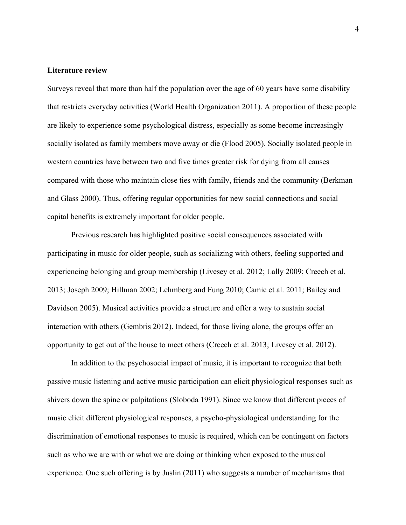#### **Literature review**

Surveys reveal that more than half the population over the age of 60 years have some disability that restricts everyday activities (World Health Organization 2011). A proportion of these people are likely to experience some psychological distress, especially as some become increasingly socially isolated as family members move away or die (Flood 2005). Socially isolated people in western countries have between two and five times greater risk for dying from all causes compared with those who maintain close ties with family, friends and the community (Berkman and Glass 2000). Thus, offering regular opportunities for new social connections and social capital benefits is extremely important for older people.

Previous research has highlighted positive social consequences associated with participating in music for older people, such as socializing with others, feeling supported and experiencing belonging and group membership (Livesey et al. 2012; Lally 2009; Creech et al. 2013; Joseph 2009; Hillman 2002; Lehmberg and Fung 2010; Camic et al. 2011; Bailey and Davidson 2005). Musical activities provide a structure and offer a way to sustain social interaction with others (Gembris 2012). Indeed, for those living alone, the groups offer an opportunity to get out of the house to meet others (Creech et al. 2013; Livesey et al. 2012).

In addition to the psychosocial impact of music, it is important to recognize that both passive music listening and active music participation can elicit physiological responses such as shivers down the spine or palpitations (Sloboda 1991). Since we know that different pieces of music elicit different physiological responses, a psycho-physiological understanding for the discrimination of emotional responses to music is required, which can be contingent on factors such as who we are with or what we are doing or thinking when exposed to the musical experience. One such offering is by Juslin (2011) who suggests a number of mechanisms that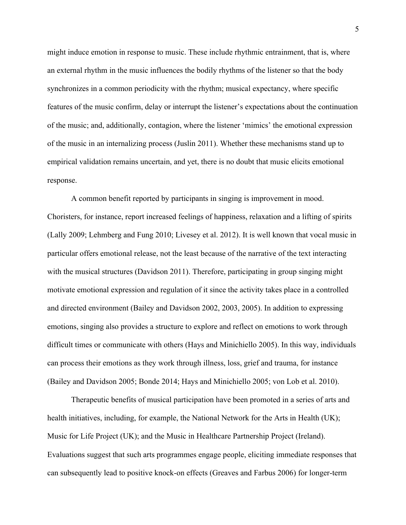might induce emotion in response to music. These include rhythmic entrainment, that is, where an external rhythm in the music influences the bodily rhythms of the listener so that the body synchronizes in a common periodicity with the rhythm; musical expectancy, where specific features of the music confirm, delay or interrupt the listener's expectations about the continuation of the music; and, additionally, contagion, where the listener 'mimics' the emotional expression of the music in an internalizing process (Juslin 2011). Whether these mechanisms stand up to empirical validation remains uncertain, and yet, there is no doubt that music elicits emotional response.

A common benefit reported by participants in singing is improvement in mood. Choristers, for instance, report increased feelings of happiness, relaxation and a lifting of spirits (Lally 2009; Lehmberg and Fung 2010; Livesey et al. 2012). It is well known that vocal music in particular offers emotional release, not the least because of the narrative of the text interacting with the musical structures (Davidson 2011). Therefore, participating in group singing might motivate emotional expression and regulation of it since the activity takes place in a controlled and directed environment (Bailey and Davidson 2002, 2003, 2005). In addition to expressing emotions, singing also provides a structure to explore and reflect on emotions to work through difficult times or communicate with others (Hays and Minichiello 2005). In this way, individuals can process their emotions as they work through illness, loss, grief and trauma, for instance (Bailey and Davidson 2005; Bonde 2014; Hays and Minichiello 2005; von Lob et al. 2010).

Therapeutic benefits of musical participation have been promoted in a series of arts and health initiatives, including, for example, the National Network for the Arts in Health (UK); Music for Life Project (UK); and the Music in Healthcare Partnership Project (Ireland). Evaluations suggest that such arts programmes engage people, eliciting immediate responses that can subsequently lead to positive knock-on effects (Greaves and Farbus 2006) for longer-term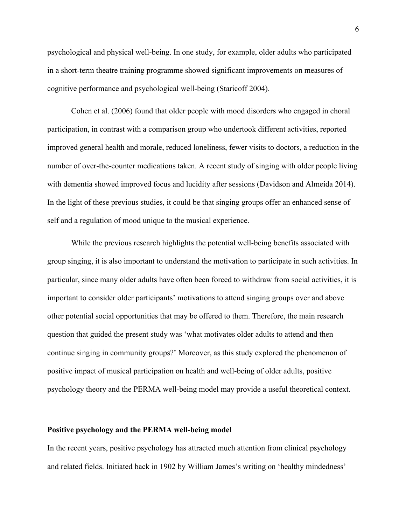psychological and physical well-being. In one study, for example, older adults who participated in a short-term theatre training programme showed significant improvements on measures of cognitive performance and psychological well-being (Staricoff 2004).

Cohen et al. (2006) found that older people with mood disorders who engaged in choral participation, in contrast with a comparison group who undertook different activities, reported improved general health and morale, reduced loneliness, fewer visits to doctors, a reduction in the number of over-the-counter medications taken. A recent study of singing with older people living with dementia showed improved focus and lucidity after sessions (Davidson and Almeida 2014). In the light of these previous studies, it could be that singing groups offer an enhanced sense of self and a regulation of mood unique to the musical experience.

While the previous research highlights the potential well-being benefits associated with group singing, it is also important to understand the motivation to participate in such activities. In particular, since many older adults have often been forced to withdraw from social activities, it is important to consider older participants' motivations to attend singing groups over and above other potential social opportunities that may be offered to them. Therefore, the main research question that guided the present study was 'what motivates older adults to attend and then continue singing in community groups?' Moreover, as this study explored the phenomenon of positive impact of musical participation on health and well-being of older adults, positive psychology theory and the PERMA well-being model may provide a useful theoretical context.

## **Positive psychology and the PERMA well-being model**

In the recent years, positive psychology has attracted much attention from clinical psychology and related fields. Initiated back in 1902 by William James's writing on 'healthy mindedness'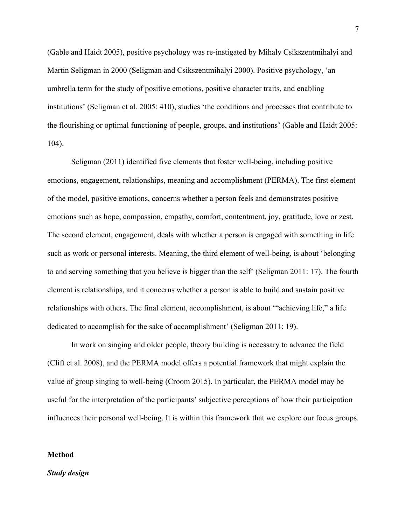(Gable and Haidt 2005), positive psychology was re-instigated by Mihaly Csikszentmihalyi and Martin Seligman in 2000 (Seligman and Csikszentmihalyi 2000). Positive psychology, 'an umbrella term for the study of positive emotions, positive character traits, and enabling institutions' (Seligman et al. 2005: 410), studies 'the conditions and processes that contribute to the flourishing or optimal functioning of people, groups, and institutions' (Gable and Haidt 2005: 104).

Seligman (2011) identified five elements that foster well-being, including positive emotions, engagement, relationships, meaning and accomplishment (PERMA). The first element of the model, positive emotions, concerns whether a person feels and demonstrates positive emotions such as hope, compassion, empathy, comfort, contentment, joy, gratitude, love or zest. The second element, engagement, deals with whether a person is engaged with something in life such as work or personal interests. Meaning, the third element of well-being, is about 'belonging to and serving something that you believe is bigger than the self' (Seligman 2011: 17). The fourth element is relationships, and it concerns whether a person is able to build and sustain positive relationships with others. The final element, accomplishment, is about '"achieving life," a life dedicated to accomplish for the sake of accomplishment' (Seligman 2011: 19).

In work on singing and older people, theory building is necessary to advance the field (Clift et al. 2008), and the PERMA model offers a potential framework that might explain the value of group singing to well-being (Croom 2015). In particular, the PERMA model may be useful for the interpretation of the participants' subjective perceptions of how their participation influences their personal well-being. It is within this framework that we explore our focus groups.

## **Method**

#### *Study design*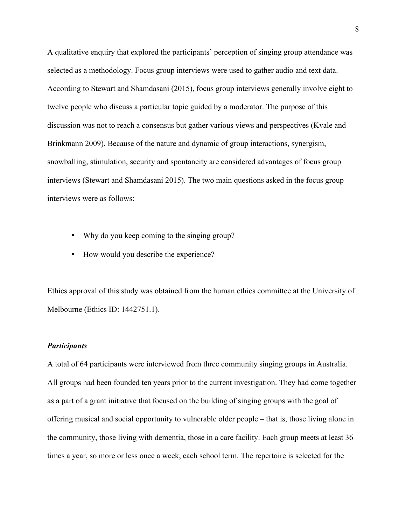A qualitative enquiry that explored the participants' perception of singing group attendance was selected as a methodology. Focus group interviews were used to gather audio and text data. According to Stewart and Shamdasani (2015), focus group interviews generally involve eight to twelve people who discuss a particular topic guided by a moderator. The purpose of this discussion was not to reach a consensus but gather various views and perspectives (Kvale and Brinkmann 2009). Because of the nature and dynamic of group interactions, synergism, snowballing, stimulation, security and spontaneity are considered advantages of focus group interviews (Stewart and Shamdasani 2015). The two main questions asked in the focus group interviews were as follows:

- Why do you keep coming to the singing group?
- How would you describe the experience?

Ethics approval of this study was obtained from the human ethics committee at the University of Melbourne (Ethics ID: 1442751.1).

# *Participants*

A total of 64 participants were interviewed from three community singing groups in Australia. All groups had been founded ten years prior to the current investigation. They had come together as a part of a grant initiative that focused on the building of singing groups with the goal of offering musical and social opportunity to vulnerable older people – that is, those living alone in the community, those living with dementia, those in a care facility. Each group meets at least 36 times a year, so more or less once a week, each school term. The repertoire is selected for the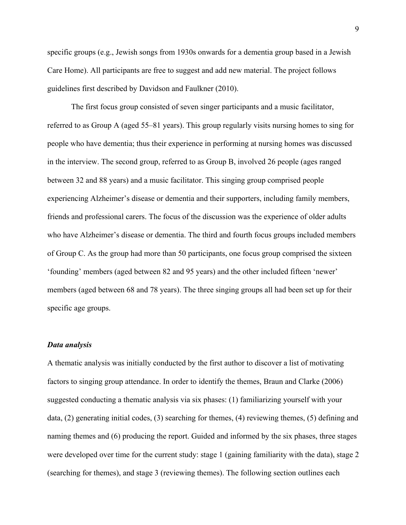specific groups (e.g., Jewish songs from 1930s onwards for a dementia group based in a Jewish Care Home). All participants are free to suggest and add new material. The project follows guidelines first described by Davidson and Faulkner (2010).

The first focus group consisted of seven singer participants and a music facilitator, referred to as Group A (aged 55–81 years). This group regularly visits nursing homes to sing for people who have dementia; thus their experience in performing at nursing homes was discussed in the interview. The second group, referred to as Group B, involved 26 people (ages ranged between 32 and 88 years) and a music facilitator. This singing group comprised people experiencing Alzheimer's disease or dementia and their supporters, including family members, friends and professional carers. The focus of the discussion was the experience of older adults who have Alzheimer's disease or dementia. The third and fourth focus groups included members of Group C. As the group had more than 50 participants, one focus group comprised the sixteen 'founding' members (aged between 82 and 95 years) and the other included fifteen 'newer' members (aged between 68 and 78 years). The three singing groups all had been set up for their specific age groups.

#### *Data analysis*

A thematic analysis was initially conducted by the first author to discover a list of motivating factors to singing group attendance. In order to identify the themes, Braun and Clarke (2006) suggested conducting a thematic analysis via six phases: (1) familiarizing yourself with your data, (2) generating initial codes, (3) searching for themes, (4) reviewing themes, (5) defining and naming themes and (6) producing the report. Guided and informed by the six phases, three stages were developed over time for the current study: stage 1 (gaining familiarity with the data), stage 2 (searching for themes), and stage 3 (reviewing themes). The following section outlines each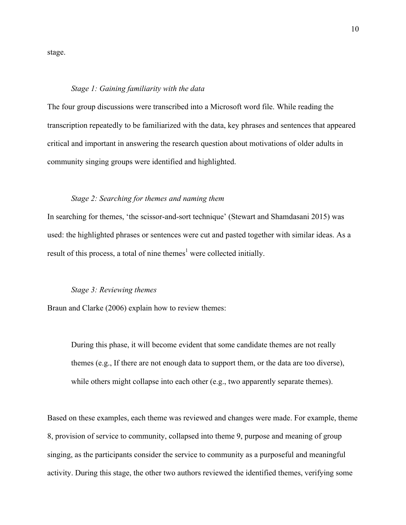stage.

## *Stage 1: Gaining familiarity with the data*

The four group discussions were transcribed into a Microsoft word file. While reading the transcription repeatedly to be familiarized with the data, key phrases and sentences that appeared critical and important in answering the research question about motivations of older adults in community singing groups were identified and highlighted.

# *Stage 2: Searching for themes and naming them*

In searching for themes, 'the scissor-and-sort technique' (Stewart and Shamdasani 2015) was used: the highlighted phrases or sentences were cut and pasted together with similar ideas. As a result of this process, a total of nine themes<sup>1</sup> were collected initially.

#### *Stage 3: Reviewing themes*

Braun and Clarke (2006) explain how to review themes:

During this phase, it will become evident that some candidate themes are not really themes (e.g., If there are not enough data to support them, or the data are too diverse), while others might collapse into each other (e.g., two apparently separate themes).

Based on these examples, each theme was reviewed and changes were made. For example, theme 8, provision of service to community, collapsed into theme 9, purpose and meaning of group singing, as the participants consider the service to community as a purposeful and meaningful activity. During this stage, the other two authors reviewed the identified themes, verifying some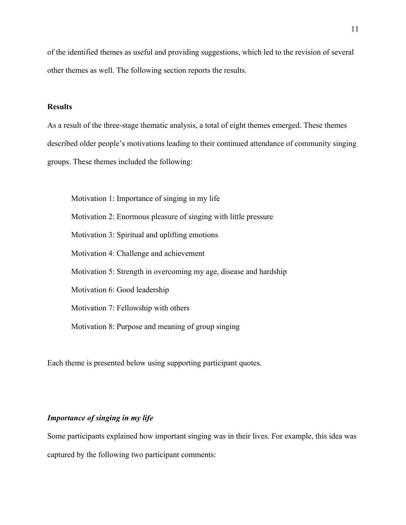of the identified themes as useful and providing suggestions, which led to the revision of several other themes as well. The following section reports the results.

# **Results**

As a result of the three-stage thematic analysis, a total of eight themes emerged. These themes described older people's motivations leading to their continued attendance of community singing groups. These themes included the following:

Motivation 1: Importance of singing in my life Motivation 2: Enormous pleasure of singing with little pressure Motivation 3: Spiritual and uplifting emotions Motivation 4: Challenge and achievement Motivation 5: Strength in overcoming my age, disease and hardship Motivation 6: Good leadership Motivation 7: Fellowship with others Motivation 8: Purpose and meaning of group singing

Each theme is presented below using supporting participant quotes.

# *Importance of singing in my life*

Some participants explained how important singing was in their lives. For example, this idea was captured by the following two participant comments: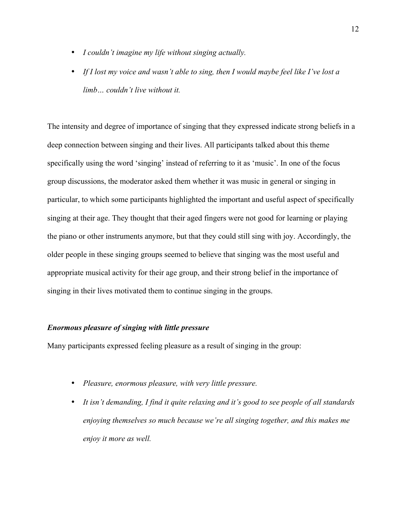- *I couldn't imagine my life without singing actually.*
- *If I lost my voice and wasn't able to sing, then I would maybe feel like I've lost a limb… couldn't live without it.*

The intensity and degree of importance of singing that they expressed indicate strong beliefs in a deep connection between singing and their lives. All participants talked about this theme specifically using the word 'singing' instead of referring to it as 'music'. In one of the focus group discussions, the moderator asked them whether it was music in general or singing in particular, to which some participants highlighted the important and useful aspect of specifically singing at their age. They thought that their aged fingers were not good for learning or playing the piano or other instruments anymore, but that they could still sing with joy. Accordingly, the older people in these singing groups seemed to believe that singing was the most useful and appropriate musical activity for their age group, and their strong belief in the importance of singing in their lives motivated them to continue singing in the groups.

# *Enormous pleasure of singing with little pressure*

Many participants expressed feeling pleasure as a result of singing in the group:

- *Pleasure, enormous pleasure, with very little pressure.*
- *It isn't demanding, I find it quite relaxing and it's good to see people of all standards enjoying themselves so much because we're all singing together, and this makes me enjoy it more as well.*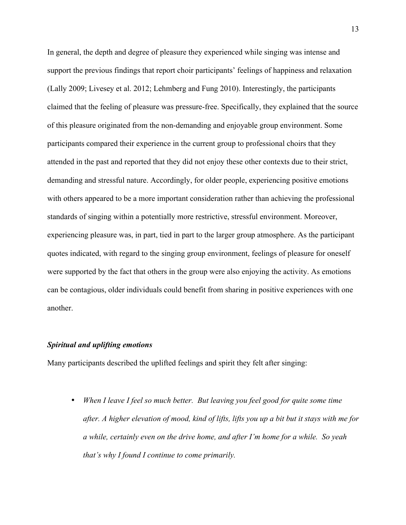In general, the depth and degree of pleasure they experienced while singing was intense and support the previous findings that report choir participants' feelings of happiness and relaxation (Lally 2009; Livesey et al. 2012; Lehmberg and Fung 2010). Interestingly, the participants claimed that the feeling of pleasure was pressure-free. Specifically, they explained that the source of this pleasure originated from the non-demanding and enjoyable group environment. Some participants compared their experience in the current group to professional choirs that they attended in the past and reported that they did not enjoy these other contexts due to their strict, demanding and stressful nature. Accordingly, for older people, experiencing positive emotions with others appeared to be a more important consideration rather than achieving the professional standards of singing within a potentially more restrictive, stressful environment. Moreover, experiencing pleasure was, in part, tied in part to the larger group atmosphere. As the participant quotes indicated, with regard to the singing group environment, feelings of pleasure for oneself were supported by the fact that others in the group were also enjoying the activity. As emotions can be contagious, older individuals could benefit from sharing in positive experiences with one another.

#### *Spiritual and uplifting emotions*

Many participants described the uplifted feelings and spirit they felt after singing:

• *When I leave I feel so much better. But leaving you feel good for quite some time after. A higher elevation of mood, kind of lifts, lifts you up a bit but it stays with me for a while, certainly even on the drive home, and after I'm home for a while. So yeah that's why I found I continue to come primarily.*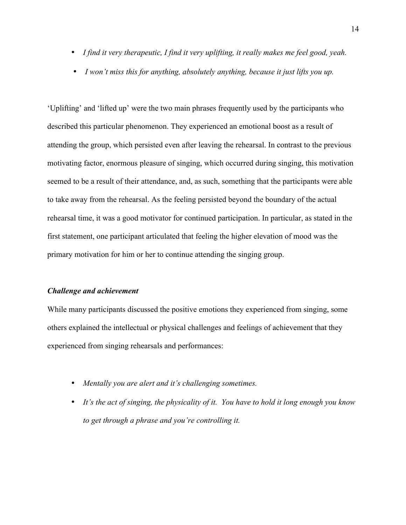- *I find it very therapeutic, I find it very uplifting, it really makes me feel good, yeah.*
- *I won't miss this for anything, absolutely anything, because it just lifts you up.*

'Uplifting' and 'lifted up' were the two main phrases frequently used by the participants who described this particular phenomenon. They experienced an emotional boost as a result of attending the group, which persisted even after leaving the rehearsal. In contrast to the previous motivating factor, enormous pleasure of singing, which occurred during singing, this motivation seemed to be a result of their attendance, and, as such, something that the participants were able to take away from the rehearsal. As the feeling persisted beyond the boundary of the actual rehearsal time, it was a good motivator for continued participation. In particular, as stated in the first statement, one participant articulated that feeling the higher elevation of mood was the primary motivation for him or her to continue attending the singing group.

## *Challenge and achievement*

While many participants discussed the positive emotions they experienced from singing, some others explained the intellectual or physical challenges and feelings of achievement that they experienced from singing rehearsals and performances:

- *Mentally you are alert and it's challenging sometimes.*
- *It's the act of singing, the physicality of it. You have to hold it long enough you know to get through a phrase and you're controlling it.*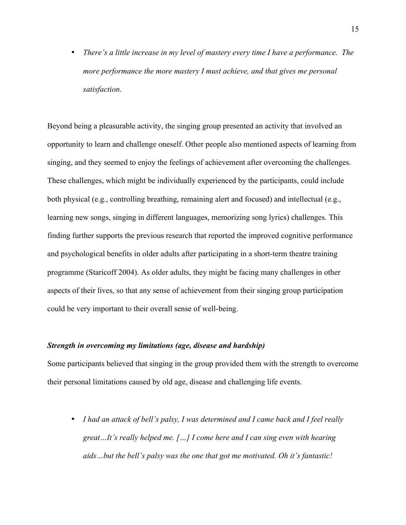• *There's a little increase in my level of mastery every time I have a performance. The more performance the more mastery I must achieve, and that gives me personal satisfaction.*

Beyond being a pleasurable activity, the singing group presented an activity that involved an opportunity to learn and challenge oneself. Other people also mentioned aspects of learning from singing, and they seemed to enjoy the feelings of achievement after overcoming the challenges. These challenges, which might be individually experienced by the participants, could include both physical (e.g., controlling breathing, remaining alert and focused) and intellectual (e.g., learning new songs, singing in different languages, memorizing song lyrics) challenges. This finding further supports the previous research that reported the improved cognitive performance and psychological benefits in older adults after participating in a short-term theatre training programme (Staricoff 2004). As older adults, they might be facing many challenges in other aspects of their lives, so that any sense of achievement from their singing group participation could be very important to their overall sense of well-being.

# *Strength in overcoming my limitations (age, disease and hardship)*

Some participants believed that singing in the group provided them with the strength to overcome their personal limitations caused by old age, disease and challenging life events.

• *I had an attack of bell's palsy, I was determined and I came back and I feel really great…It's really helped me. […] I come here and I can sing even with hearing aids…but the bell's palsy was the one that got me motivated. Oh it's fantastic!*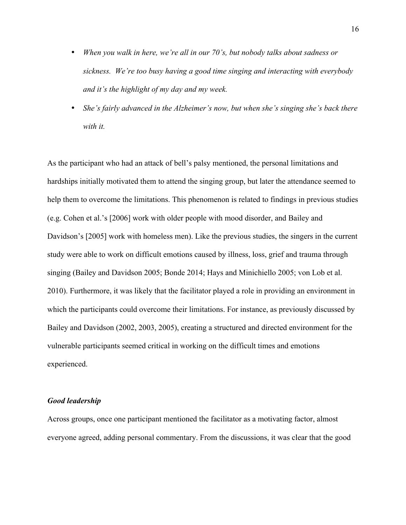- *When you walk in here, we're all in our 70's, but nobody talks about sadness or sickness. We're too busy having a good time singing and interacting with everybody and it's the highlight of my day and my week.*
- *She's fairly advanced in the Alzheimer's now, but when she's singing she's back there with it.*

As the participant who had an attack of bell's palsy mentioned, the personal limitations and hardships initially motivated them to attend the singing group, but later the attendance seemed to help them to overcome the limitations. This phenomenon is related to findings in previous studies (e.g. Cohen et al.'s [2006] work with older people with mood disorder, and Bailey and Davidson's [2005] work with homeless men). Like the previous studies, the singers in the current study were able to work on difficult emotions caused by illness, loss, grief and trauma through singing (Bailey and Davidson 2005; Bonde 2014; Hays and Minichiello 2005; von Lob et al. 2010). Furthermore, it was likely that the facilitator played a role in providing an environment in which the participants could overcome their limitations. For instance, as previously discussed by Bailey and Davidson (2002, 2003, 2005), creating a structured and directed environment for the vulnerable participants seemed critical in working on the difficult times and emotions experienced.

# *Good leadership*

Across groups, once one participant mentioned the facilitator as a motivating factor, almost everyone agreed, adding personal commentary. From the discussions, it was clear that the good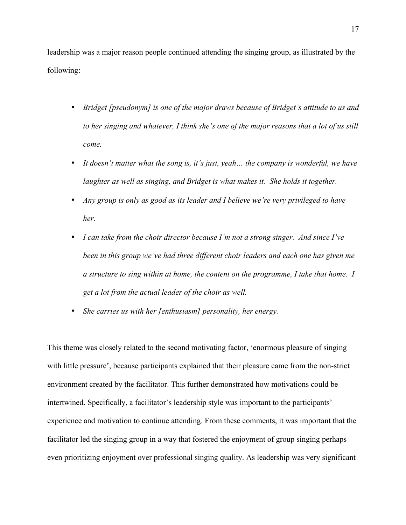leadership was a major reason people continued attending the singing group, as illustrated by the following:

- *Bridget [pseudonym] is one of the major draws because of Bridget's attitude to us and to her singing and whatever, I think she's one of the major reasons that a lot of us still come.*
- *It doesn't matter what the song is, it's just, yeah… the company is wonderful, we have laughter as well as singing, and Bridget is what makes it. She holds it together.*
- *Any group is only as good as its leader and I believe we're very privileged to have her.*
- *I can take from the choir director because I'm not a strong singer. And since I've been in this group we've had three different choir leaders and each one has given me a structure to sing within at home, the content on the programme, I take that home. I get a lot from the actual leader of the choir as well.*
- *She carries us with her [enthusiasm] personality, her energy.*

This theme was closely related to the second motivating factor, 'enormous pleasure of singing with little pressure', because participants explained that their pleasure came from the non-strict environment created by the facilitator. This further demonstrated how motivations could be intertwined. Specifically, a facilitator's leadership style was important to the participants' experience and motivation to continue attending. From these comments, it was important that the facilitator led the singing group in a way that fostered the enjoyment of group singing perhaps even prioritizing enjoyment over professional singing quality. As leadership was very significant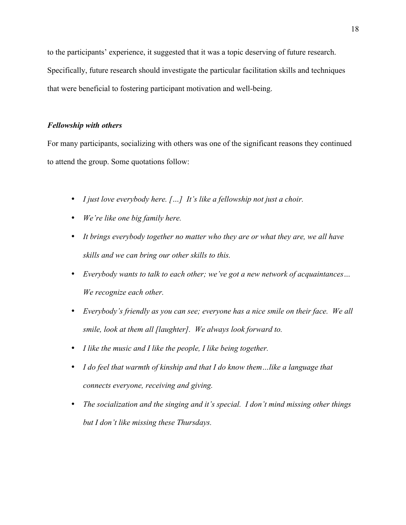to the participants' experience, it suggested that it was a topic deserving of future research. Specifically, future research should investigate the particular facilitation skills and techniques that were beneficial to fostering participant motivation and well-being.

# *Fellowship with others*

For many participants, socializing with others was one of the significant reasons they continued to attend the group. Some quotations follow:

- *I just love everybody here. […] It's like a fellowship not just a choir.*
- *We're like one big family here.*
- It brings everybody together no matter who they are or what they are, we all have *skills and we can bring our other skills to this.*
- *Everybody wants to talk to each other; we've got a new network of acquaintances… We recognize each other.*
- *Everybody's friendly as you can see; everyone has a nice smile on their face. We all smile, look at them all [laughter]. We always look forward to.*
- *I like the music and I like the people, I like being together.*
- *I do feel that warmth of kinship and that I do know them...like a language that connects everyone, receiving and giving.*
- *The socialization and the singing and it's special. I don't mind missing other things but I don't like missing these Thursdays.*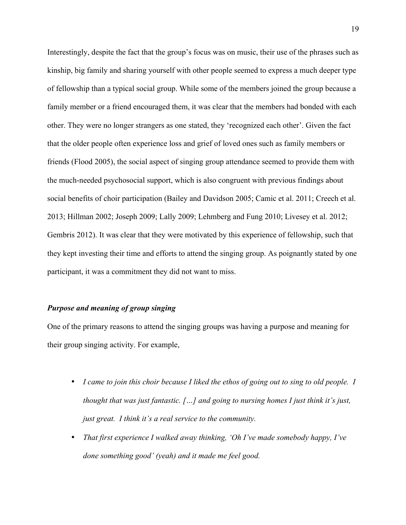Interestingly, despite the fact that the group's focus was on music, their use of the phrases such as kinship, big family and sharing yourself with other people seemed to express a much deeper type of fellowship than a typical social group. While some of the members joined the group because a family member or a friend encouraged them, it was clear that the members had bonded with each other. They were no longer strangers as one stated, they 'recognized each other'. Given the fact that the older people often experience loss and grief of loved ones such as family members or friends (Flood 2005), the social aspect of singing group attendance seemed to provide them with the much-needed psychosocial support, which is also congruent with previous findings about social benefits of choir participation (Bailey and Davidson 2005; Camic et al. 2011; Creech et al. 2013; Hillman 2002; Joseph 2009; Lally 2009; Lehmberg and Fung 2010; Livesey et al. 2012; Gembris 2012). It was clear that they were motivated by this experience of fellowship, such that they kept investing their time and efforts to attend the singing group. As poignantly stated by one participant, it was a commitment they did not want to miss.

## *Purpose and meaning of group singing*

One of the primary reasons to attend the singing groups was having a purpose and meaning for their group singing activity. For example,

- *I came to join this choir because I liked the ethos of going out to sing to old people. I thought that was just fantastic. […] and going to nursing homes I just think it's just, just great. I think it's a real service to the community.*
- *That first experience I walked away thinking, 'Oh I've made somebody happy, I've done something good' (yeah) and it made me feel good.*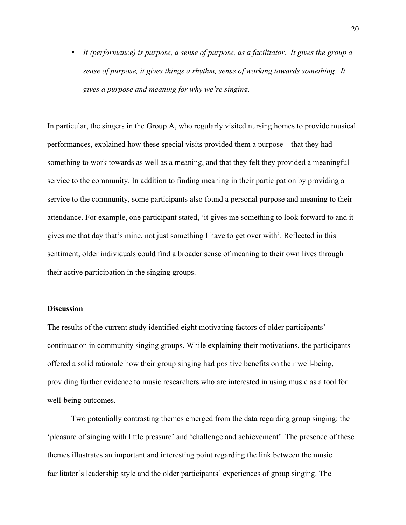• *It (performance) is purpose, a sense of purpose, as a facilitator. It gives the group a sense of purpose, it gives things a rhythm, sense of working towards something. It gives a purpose and meaning for why we're singing.*

In particular, the singers in the Group A, who regularly visited nursing homes to provide musical performances, explained how these special visits provided them a purpose – that they had something to work towards as well as a meaning, and that they felt they provided a meaningful service to the community. In addition to finding meaning in their participation by providing a service to the community, some participants also found a personal purpose and meaning to their attendance. For example, one participant stated, 'it gives me something to look forward to and it gives me that day that's mine, not just something I have to get over with'. Reflected in this sentiment, older individuals could find a broader sense of meaning to their own lives through their active participation in the singing groups.

#### **Discussion**

The results of the current study identified eight motivating factors of older participants' continuation in community singing groups. While explaining their motivations, the participants offered a solid rationale how their group singing had positive benefits on their well-being, providing further evidence to music researchers who are interested in using music as a tool for well-being outcomes.

Two potentially contrasting themes emerged from the data regarding group singing: the 'pleasure of singing with little pressure' and 'challenge and achievement'. The presence of these themes illustrates an important and interesting point regarding the link between the music facilitator's leadership style and the older participants' experiences of group singing. The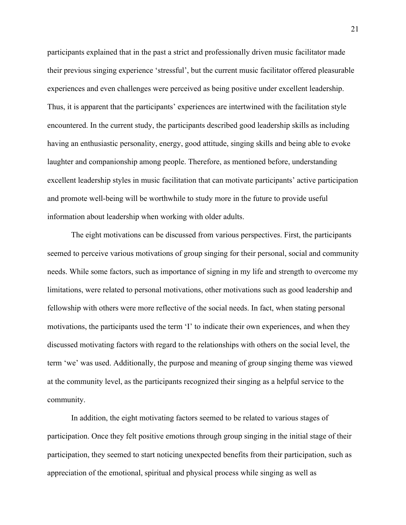participants explained that in the past a strict and professionally driven music facilitator made their previous singing experience 'stressful', but the current music facilitator offered pleasurable experiences and even challenges were perceived as being positive under excellent leadership. Thus, it is apparent that the participants' experiences are intertwined with the facilitation style encountered. In the current study, the participants described good leadership skills as including having an enthusiastic personality, energy, good attitude, singing skills and being able to evoke laughter and companionship among people. Therefore, as mentioned before, understanding excellent leadership styles in music facilitation that can motivate participants' active participation and promote well-being will be worthwhile to study more in the future to provide useful information about leadership when working with older adults.

The eight motivations can be discussed from various perspectives. First, the participants seemed to perceive various motivations of group singing for their personal, social and community needs. While some factors, such as importance of signing in my life and strength to overcome my limitations, were related to personal motivations, other motivations such as good leadership and fellowship with others were more reflective of the social needs. In fact, when stating personal motivations, the participants used the term 'I' to indicate their own experiences, and when they discussed motivating factors with regard to the relationships with others on the social level, the term 'we' was used. Additionally, the purpose and meaning of group singing theme was viewed at the community level, as the participants recognized their singing as a helpful service to the community.

In addition, the eight motivating factors seemed to be related to various stages of participation. Once they felt positive emotions through group singing in the initial stage of their participation, they seemed to start noticing unexpected benefits from their participation, such as appreciation of the emotional, spiritual and physical process while singing as well as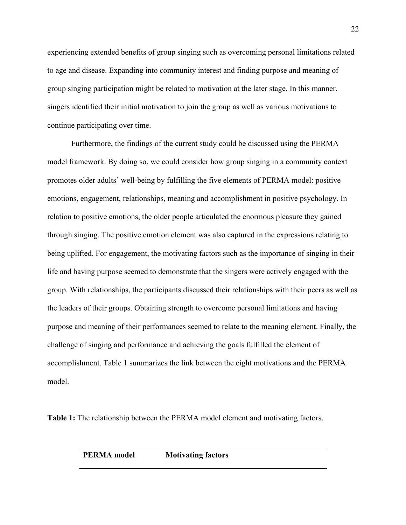experiencing extended benefits of group singing such as overcoming personal limitations related to age and disease. Expanding into community interest and finding purpose and meaning of group singing participation might be related to motivation at the later stage. In this manner, singers identified their initial motivation to join the group as well as various motivations to continue participating over time.

Furthermore, the findings of the current study could be discussed using the PERMA model framework. By doing so, we could consider how group singing in a community context promotes older adults' well-being by fulfilling the five elements of PERMA model: positive emotions, engagement, relationships, meaning and accomplishment in positive psychology. In relation to positive emotions, the older people articulated the enormous pleasure they gained through singing. The positive emotion element was also captured in the expressions relating to being uplifted. For engagement, the motivating factors such as the importance of singing in their life and having purpose seemed to demonstrate that the singers were actively engaged with the group. With relationships, the participants discussed their relationships with their peers as well as the leaders of their groups. Obtaining strength to overcome personal limitations and having purpose and meaning of their performances seemed to relate to the meaning element. Finally, the challenge of singing and performance and achieving the goals fulfilled the element of accomplishment. Table 1 summarizes the link between the eight motivations and the PERMA model.

**Table 1:** The relationship between the PERMA model element and motivating factors.

# **PERMA model Motivating factors**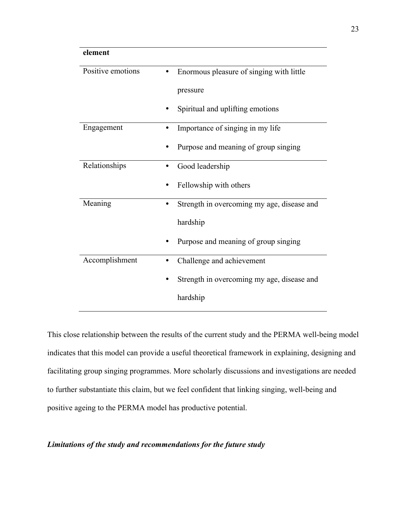| element              |                                            |
|----------------------|--------------------------------------------|
| Positive emotions    | Enormous pleasure of singing with little   |
|                      | pressure                                   |
|                      | Spiritual and uplifting emotions           |
| Engagement<br>٠      | Importance of singing in my life           |
|                      | Purpose and meaning of group singing       |
| Relationships<br>٠   | Good leadership                            |
|                      | Fellowship with others                     |
| Meaning<br>$\bullet$ | Strength in overcoming my age, disease and |
|                      | hardship                                   |
|                      | Purpose and meaning of group singing       |
| Accomplishment       | Challenge and achievement                  |
|                      | Strength in overcoming my age, disease and |
|                      | hardship                                   |

This close relationship between the results of the current study and the PERMA well-being model indicates that this model can provide a useful theoretical framework in explaining, designing and facilitating group singing programmes. More scholarly discussions and investigations are needed to further substantiate this claim, but we feel confident that linking singing, well-being and positive ageing to the PERMA model has productive potential.

## *Limitations of the study and recommendations for the future study*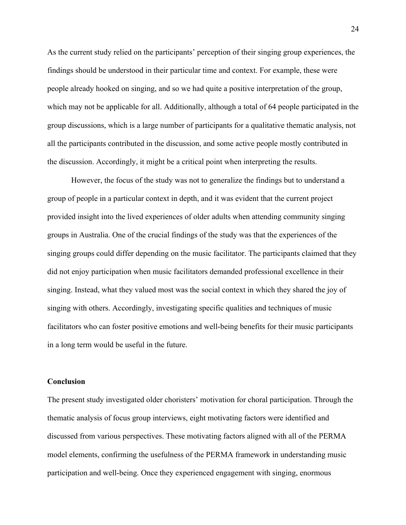As the current study relied on the participants' perception of their singing group experiences, the findings should be understood in their particular time and context. For example, these were people already hooked on singing, and so we had quite a positive interpretation of the group, which may not be applicable for all. Additionally, although a total of 64 people participated in the group discussions, which is a large number of participants for a qualitative thematic analysis, not all the participants contributed in the discussion, and some active people mostly contributed in the discussion. Accordingly, it might be a critical point when interpreting the results.

However, the focus of the study was not to generalize the findings but to understand a group of people in a particular context in depth, and it was evident that the current project provided insight into the lived experiences of older adults when attending community singing groups in Australia. One of the crucial findings of the study was that the experiences of the singing groups could differ depending on the music facilitator. The participants claimed that they did not enjoy participation when music facilitators demanded professional excellence in their singing. Instead, what they valued most was the social context in which they shared the joy of singing with others. Accordingly, investigating specific qualities and techniques of music facilitators who can foster positive emotions and well-being benefits for their music participants in a long term would be useful in the future.

## **Conclusion**

The present study investigated older choristers' motivation for choral participation. Through the thematic analysis of focus group interviews, eight motivating factors were identified and discussed from various perspectives. These motivating factors aligned with all of the PERMA model elements, confirming the usefulness of the PERMA framework in understanding music participation and well-being. Once they experienced engagement with singing, enormous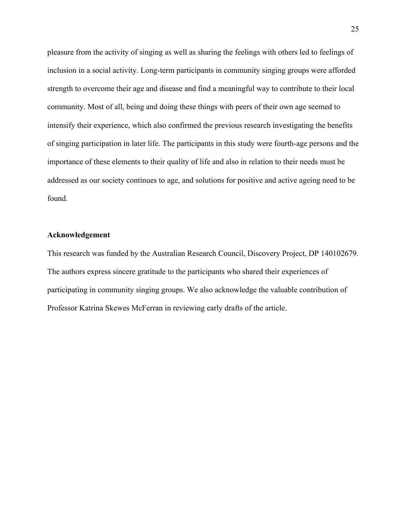pleasure from the activity of singing as well as sharing the feelings with others led to feelings of inclusion in a social activity. Long-term participants in community singing groups were afforded strength to overcome their age and disease and find a meaningful way to contribute to their local community. Most of all, being and doing these things with peers of their own age seemed to intensify their experience, which also confirmed the previous research investigating the benefits of singing participation in later life. The participants in this study were fourth-age persons and the importance of these elements to their quality of life and also in relation to their needs must be addressed as our society continues to age, and solutions for positive and active ageing need to be found.

#### **Acknowledgement**

This research was funded by the Australian Research Council, Discovery Project, DP 140102679. The authors express sincere gratitude to the participants who shared their experiences of participating in community singing groups. We also acknowledge the valuable contribution of Professor Katrina Skewes McFerran in reviewing early drafts of the article.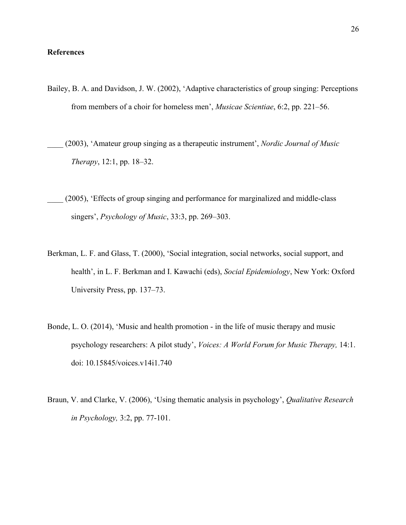- Bailey, B. A. and Davidson, J. W. (2002), 'Adaptive characteristics of group singing: Perceptions from members of a choir for homeless men', *Musicae Scientiae*, 6:2, pp. 221–56.
- \_\_\_\_ (2003), 'Amateur group singing as a therapeutic instrument', *Nordic Journal of Music Therapy*, 12:1, pp. 18–32.
- \_\_\_\_ (2005), 'Effects of group singing and performance for marginalized and middle-class singers', *Psychology of Music*, 33:3, pp. 269–303.
- Berkman, L. F. and Glass, T. (2000), 'Social integration, social networks, social support, and health', in L. F. Berkman and I. Kawachi (eds), *Social Epidemiology*, New York: Oxford University Press, pp. 137–73.
- Bonde, L. O. (2014), 'Music and health promotion in the life of music therapy and music psychology researchers: A pilot study', *Voices: A World Forum for Music Therapy,* 14:1. doi: 10.15845/voices.v14i1.740
- Braun, V. and Clarke, V. (2006), 'Using thematic analysis in psychology', *Qualitative Research in Psychology,* 3:2, pp. 77-101.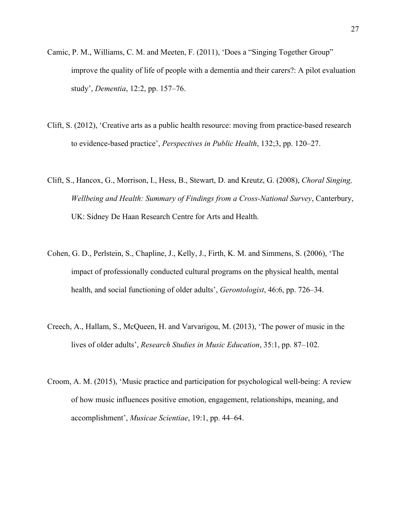- Camic, P. M., Williams, C. M. and Meeten, F. (2011), 'Does a "Singing Together Group" improve the quality of life of people with a dementia and their carers?: A pilot evaluation study', *Dementia*, 12:2, pp. 157–76.
- Clift, S. (2012), 'Creative arts as a public health resource: moving from practice-based research to evidence-based practice', *Perspectives in Public Health*, 132;3, pp. 120–27.
- Clift, S., Hancox, G., Morrison, I., Hess, B., Stewart, D. and Kreutz, G. (2008), *Choral Singing, Wellbeing and Health: Summary of Findings from a Cross-National Survey*, Canterbury, UK: Sidney De Haan Research Centre for Arts and Health.
- Cohen, G. D., Perlstein, S., Chapline, J., Kelly, J., Firth, K. M. and Simmens, S. (2006), 'The impact of professionally conducted cultural programs on the physical health, mental health, and social functioning of older adults', *Gerontologist*, 46:6, pp. 726–34.
- Creech, A., Hallam, S., McQueen, H. and Varvarigou, M. (2013), 'The power of music in the lives of older adults', *Research Studies in Music Education*, 35:1, pp. 87–102.
- Croom, A. M. (2015), 'Music practice and participation for psychological well-being: A review of how music influences positive emotion, engagement, relationships, meaning, and accomplishment', *Musicae Scientiae*, 19:1, pp. 44–64.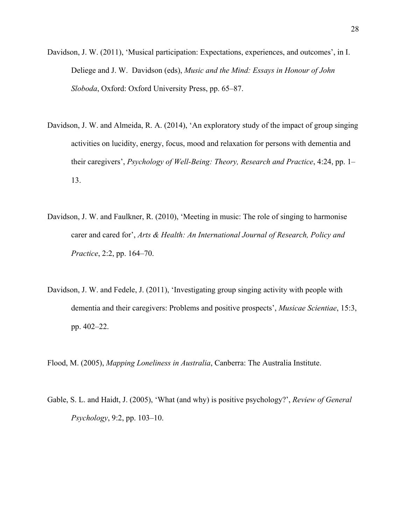- Davidson, J. W. (2011), 'Musical participation: Expectations, experiences, and outcomes', in I. Deliege and J. W. Davidson (eds), *Music and the Mind: Essays in Honour of John Sloboda*, Oxford: Oxford University Press, pp. 65–87.
- Davidson, J. W. and Almeida, R. A. (2014), 'An exploratory study of the impact of group singing activities on lucidity, energy, focus, mood and relaxation for persons with dementia and their caregivers', *Psychology of Well-Being: Theory, Research and Practice*, 4:24, pp. 1– 13.
- Davidson, J. W. and Faulkner, R. (2010), 'Meeting in music: The role of singing to harmonise carer and cared for', *Arts & Health: An International Journal of Research, Policy and Practice*, 2:2, pp. 164–70.
- Davidson, J. W. and Fedele, J. (2011), 'Investigating group singing activity with people with dementia and their caregivers: Problems and positive prospects', *Musicae Scientiae*, 15:3, pp. 402–22.
- Flood, M. (2005), *Mapping Loneliness in Australia*, Canberra: The Australia Institute.
- Gable, S. L. and Haidt, J. (2005), 'What (and why) is positive psychology?', *Review of General Psychology*, 9:2, pp. 103–10.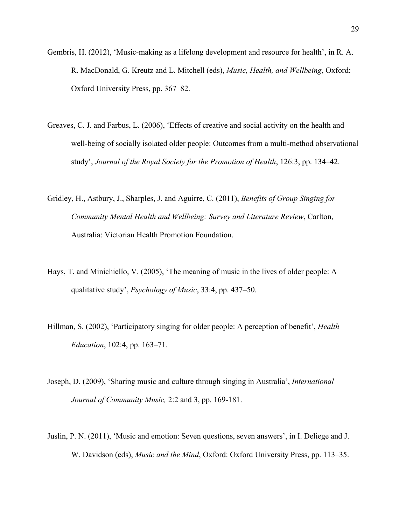- Gembris, H. (2012), 'Music-making as a lifelong development and resource for health', in R. A. R. MacDonald, G. Kreutz and L. Mitchell (eds), *Music, Health, and Wellbeing*, Oxford: Oxford University Press, pp. 367–82.
- Greaves, C. J. and Farbus, L. (2006), 'Effects of creative and social activity on the health and well-being of socially isolated older people: Outcomes from a multi-method observational study', *Journal of the Royal Society for the Promotion of Health*, 126:3, pp. 134–42.
- Gridley, H., Astbury, J., Sharples, J. and Aguirre, C. (2011), *Benefits of Group Singing for Community Mental Health and Wellbeing: Survey and Literature Review*, Carlton, Australia: Victorian Health Promotion Foundation.
- Hays, T. and Minichiello, V. (2005), 'The meaning of music in the lives of older people: A qualitative study', *Psychology of Music*, 33:4, pp. 437–50.
- Hillman, S. (2002), 'Participatory singing for older people: A perception of benefit', *Health Education*, 102:4, pp. 163–71.
- Joseph, D. (2009), 'Sharing music and culture through singing in Australia', *International Journal of Community Music,* 2:2 and 3, pp. 169-181.
- Juslin, P. N. (2011), 'Music and emotion: Seven questions, seven answers', in I. Deliege and J. W. Davidson (eds), *Music and the Mind*, Oxford: Oxford University Press, pp. 113–35.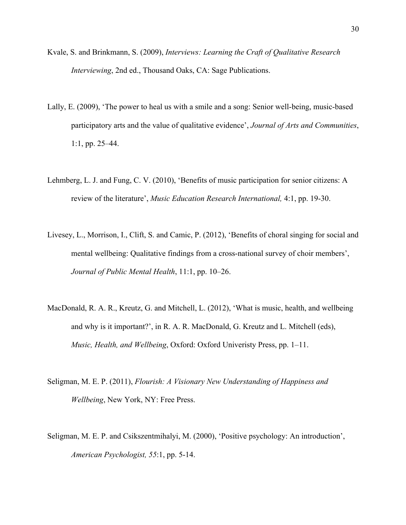- Kvale, S. and Brinkmann, S. (2009), *Interviews: Learning the Craft of Qualitative Research Interviewing*, 2nd ed., Thousand Oaks, CA: Sage Publications.
- Lally, E. (2009), 'The power to heal us with a smile and a song: Senior well-being, music-based participatory arts and the value of qualitative evidence', *Journal of Arts and Communities*, 1:1, pp. 25–44.
- Lehmberg, L. J. and Fung, C. V. (2010), 'Benefits of music participation for senior citizens: A review of the literature', *Music Education Research International,* 4:1, pp. 19-30.
- Livesey, L., Morrison, I., Clift, S. and Camic, P. (2012), 'Benefits of choral singing for social and mental wellbeing: Qualitative findings from a cross-national survey of choir members', *Journal of Public Mental Health*, 11:1, pp. 10–26.
- MacDonald, R. A. R., Kreutz, G. and Mitchell, L. (2012), 'What is music, health, and wellbeing and why is it important?', in R. A. R. MacDonald, G. Kreutz and L. Mitchell (eds), *Music, Health, and Wellbeing*, Oxford: Oxford Univeristy Press, pp. 1–11.
- Seligman, M. E. P. (2011), *Flourish: A Visionary New Understanding of Happiness and Wellbeing*, New York, NY: Free Press.
- Seligman, M. E. P. and Csikszentmihalyi, M. (2000), 'Positive psychology: An introduction', *American Psychologist, 55*:1, pp. 5-14.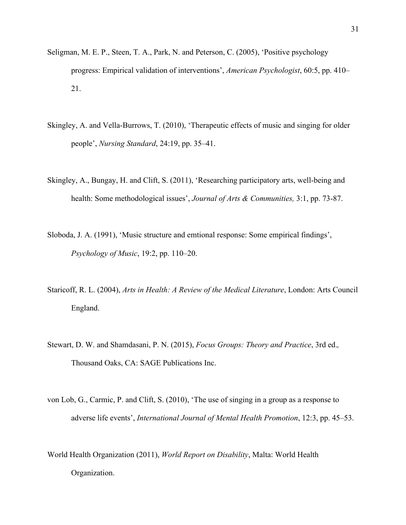- Seligman, M. E. P., Steen, T. A., Park, N. and Peterson, C. (2005), 'Positive psychology progress: Empirical validation of interventions', *American Psychologist*, 60:5, pp. 410– 21.
- Skingley, A. and Vella-Burrows, T. (2010), 'Therapeutic effects of music and singing for older people', *Nursing Standard*, 24:19, pp. 35–41.
- Skingley, A., Bungay, H. and Clift, S. (2011), 'Researching participatory arts, well-being and health: Some methodological issues', *Journal of Arts & Communities,* 3:1, pp. 73-87.
- Sloboda, J. A. (1991), 'Music structure and emtional response: Some empirical findings', *Psychology of Music*, 19:2, pp. 110–20.
- Staricoff, R. L. (2004), *Arts in Health: A Review of the Medical Literature*, London: Arts Council England.
- Stewart, D. W. and Shamdasani, P. N. (2015), *Focus Groups: Theory and Practice*, 3rd ed.*,* Thousand Oaks, CA: SAGE Publications Inc.
- von Lob, G., Carmic, P. and Clift, S. (2010), 'The use of singing in a group as a response to adverse life events', *International Journal of Mental Health Promotion*, 12:3, pp. 45–53.

World Health Organization (2011), *World Report on Disability*, Malta: World Health Organization.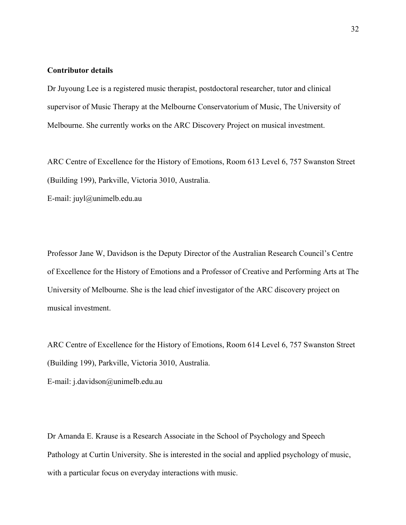#### **Contributor details**

Dr Juyoung Lee is a registered music therapist, postdoctoral researcher, tutor and clinical supervisor of Music Therapy at the Melbourne Conservatorium of Music, The University of Melbourne. She currently works on the ARC Discovery Project on musical investment.

ARC Centre of Excellence for the History of Emotions, Room 613 Level 6, 757 Swanston Street (Building 199), Parkville, Victoria 3010, Australia.

E-mail: juyl@unimelb.edu.au

Professor Jane W, Davidson is the Deputy Director of the Australian Research Council's Centre of Excellence for the History of Emotions and a Professor of Creative and Performing Arts at The University of Melbourne. She is the lead chief investigator of the ARC discovery project on musical investment.

ARC Centre of Excellence for the History of Emotions, Room 614 Level 6, 757 Swanston Street (Building 199), Parkville, Victoria 3010, Australia.

E-mail: j.davidson@unimelb.edu.au

Dr Amanda E. Krause is a Research Associate in the School of Psychology and Speech Pathology at Curtin University. She is interested in the social and applied psychology of music, with a particular focus on everyday interactions with music.